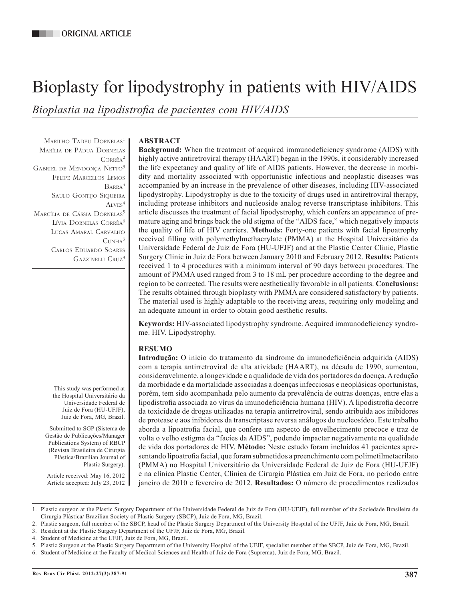# Bioplasty for lipodystrophy in patients with HIV/AIDS

*Bioplastia na lipodistrofia de pacientes com HIV/AIDS*

MARILHO TADEU DORNELAS<sup>1</sup> Marília de Pádua Dornelas Corrêa2 Gabriel de Mendonça Netto3 Felipe Marcellos Lemos Barra4 Saulo Gontijo Siqueira  $A$ <sub>I</sub>  $VFS<sup>4</sup>$ MARCÍLIA DE CÁSSIA DORNELAS<sup>5</sup> Lívia Dornelas Corrêa<sup>6</sup> Lucas Amaral Carvalho  $C$ **UNHA**<sup>3</sup> Carlos Eduardo Soares GAZZINELLI CRUZ<sup>3</sup>

> This study was performed at the Hospital Universitário da Universidade Federal de Juiz de Fora (HU-UFJF), Juiz de Fora, MG, Brazil.

Submitted to SGP (Sistema de Gestão de Publicações/Manager Publications System) of RBCP (Revista Brasileira de Cirurgia Plástica/Brazilian Journal of Plastic Surgery).

Article received: May 16, 2012 Article accepted: July 23, 2012

# **ABSTRACT**

**Background:** When the treatment of acquired immunodeficiency syndrome (AIDS) with highly active antiretroviral therapy (HAART) began in the 1990s, it considerably increased the life expectancy and quality of life of AIDS patients. However, the decrease in morbidity and mortality associated with opportunistic infectious and neoplastic diseases was accompanied by an increase in the prevalence of other diseases, including HIV-associated lipodystrophy. Lipodystrophy is due to the toxicity of drugs used in antiretroviral therapy, including protease inhibitors and nucleoside analog reverse transcriptase inhibitors. This article discusses the treatment of facial lipodystrophy, which confers an appearance of premature aging and brings back the old stigma of the "AIDS face," which negatively impacts the quality of life of HIV carriers. **Methods:** Forty-one patients with facial lipoatrophy received filling with polymethylmethacrylate (PMMA) at the Hospital Universitário da Universidade Federal de Juiz de Fora (HU-UFJF) and at the Plastic Center Clinic, Plastic Surgery Clinic in Juiz de Fora between January 2010 and February 2012. **Results:** Patients received 1 to 4 procedures with a minimum interval of 90 days between procedures. The amount of PMMA used ranged from 3 to 18 mL per procedure according to the degree and region to be corrected. The results were aesthetically favorable in all patients. **Conclusions:** The results obtained through bioplasty with PMMA are considered satisfactory by patients. The material used is highly adaptable to the receiving areas, requiring only modeling and an adequate amount in order to obtain good aesthetic results.

**Keywords:** HIV-associated lipodystrophy syndrome. Acquired immunodeficiency syndrome. HIV. Lipodystrophy.

# **RESUMO**

**Introdução:** O início do tratamento da síndrome da imunodeficiência adquirida (AIDS) com a terapia antirretroviral de alta atividade (HAART), na década de 1990, aumentou, consideravelmente, a longevidade e a qualidade de vida dos portadores da doença. A redução da morbidade e da mortalidade associadas a doenças infecciosas e neoplásicas oportunistas, porém, tem sido acompanhada pelo aumento da prevalência de outras doenças, entre elas a lipodistrofia associada ao vírus da imunodeficiência humana (HIV). A lipodistrofia decorre da toxicidade de drogas utilizadas na terapia antirretroviral, sendo atribuída aos inibidores de protease e aos inibidores da transcriptase reversa análogos do nucleosídeo. Este trabalho aborda a lipoatrofia facial, que confere um aspecto de envelhecimento precoce e traz de volta o velho estigma da "facies da AIDS", podendo impactar negativamente na qualidade de vida dos portadores de HIV. **Método:** Neste estudo foram incluídos 41 pacientes apresentando lipoatrofia facial, que foram submetidos a preenchimento com polimetilmetacrilato (PMMA) no Hospital Universitário da Universidade Federal de Juiz de Fora (HU-UFJF) e na clínica Plastic Center, Clínica de Cirurgia Plástica em Juiz de Fora, no período entre janeiro de 2010 e fevereiro de 2012. **Resultados:** O número de procedimentos realizados

<sup>1.</sup> Plastic surgeon at the Plastic Surgery Department of the Universidade Federal de Juiz de Fora (HU-UFJF), full member of the Sociedade Brasileira de Cirurgia Plástica/ Brazilian Society of Plastic Surgery (SBCP), Juiz de Fora, MG, Brazil.

<sup>2.</sup> Plastic surgeon, full member of the SBCP, head of the Plastic Surgery Department of the University Hospital of the UFJF, Juiz de Fora, MG, Brazil.

<sup>3.</sup> Resident at the Plastic Surgery Department of the UFJF, Juiz de Fora, MG, Brazil.

<sup>4.</sup> Student of Medicine at the UFJF, Juiz de Fora, MG, Brazil.

<sup>5.</sup> Plastic Surgeon at the Plastic Surgery Department of the University Hospital of the UFJF, specialist member of the SBCP, Juiz de Fora, MG, Brazil.

<sup>6.</sup> Student of Medicine at the Faculty of Medical Sciences and Health of Juiz de Fora (Suprema), Juiz de Fora, MG, Brazil.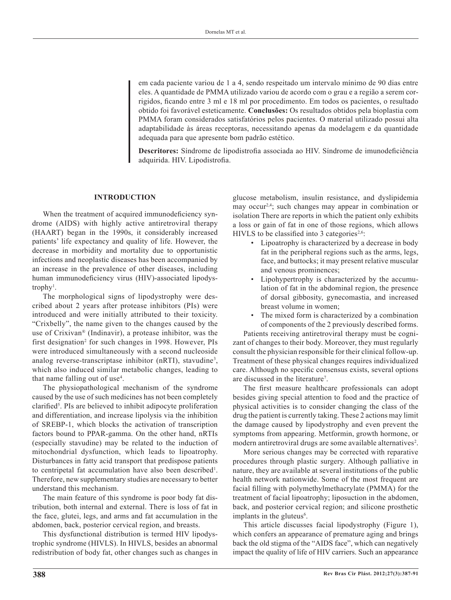em cada paciente variou de 1 a 4, sendo respeitado um intervalo mínimo de 90 dias entre eles. A quantidade de PMMA utilizado variou de acordo com o grau e a região a serem corrigidos, ficando entre 3 ml e 18 ml por procedimento. Em todos os pacientes, o resultado obtido foi favorável esteticamente. **Conclusões:** Os resultados obtidos pela bioplastia com PMMA foram considerados satisfatórios pelos pacientes. O material utilizado possui alta adaptabilidade às áreas receptoras, necessitando apenas da modelagem e da quantidade adequada para que apresente bom padrão estético.

**Descritores:** Síndrome de lipodistrofia associada ao HIV. Síndrome de imunodeficiência adquirida. HIV. Lipodistrofia.

#### **INTRODUCTION**

When the treatment of acquired immunodeficiency syndrome (AIDS) with highly active antiretroviral therapy (HAART) began in the 1990s, it considerably increased patients' life expectancy and quality of life. However, the decrease in morbidity and mortality due to opportunistic infections and neoplastic diseases has been accompanied by an increase in the prevalence of other diseases, including human immunodeficiency virus (HIV)-associated lipodystrophy<sup>1</sup>.

The morphological signs of lipodystrophy were described about 2 years after protease inhibitors (PIs) were introduced and were initially attributed to their toxicity. "Crixbelly", the name given to the changes caused by the use of Crixivan® (Indinavir), a protease inhibitor, was the first designation<sup>2</sup> for such changes in 1998. However, PIs were introduced simultaneously with a second nucleoside analog reverse-transcriptase inhibitor (nRTI), stavudine<sup>3</sup>, which also induced similar metabolic changes, leading to that name falling out of use<sup>4</sup>.

The physiopathological mechanism of the syndrome caused by the use of such medicines has not been completely clarified<sup>5</sup>. PIs are believed to inhibit adipocyte proliferation and differentiation, and increase lipolysis via the inhibition of SREBP-1, which blocks the activation of transcription factors bound to PPAR-gamma. On the other hand, nRTIs (especially stavudine) may be related to the induction of mitochondrial dysfunction, which leads to lipoatrophy. Disturbances in fatty acid transport that predispose patients to centripetal fat accumulation have also been described<sup>1</sup>. Therefore, new supplementary studies are necessary to better understand this mechanism.

The main feature of this syndrome is poor body fat distribution, both internal and external. There is loss of fat in the face, glutei, legs, and arms and fat accumulation in the abdomen, back, posterior cervical region, and breasts.

This dysfunctional distribution is termed HIV lipodystrophic syndrome (HIVLS). In HIVLS, besides an abnormal redistribution of body fat, other changes such as changes in glucose metabolism, insulin resistance, and dyslipidemia may occur<sup>2,4</sup>; such changes may appear in combination or isolation There are reports in which the patient only exhibits a loss or gain of fat in one of those regions, which allows HIVLS to be classified into 3 categories<sup>2,6</sup>:

- Lipoatrophy is characterized by a decrease in body fat in the peripheral regions such as the arms, legs, face, and buttocks; it may present relative muscular and venous prominences;
- Lipohypertrophy is characterized by the accumulation of fat in the abdominal region, the presence of dorsal gibbosity, gynecomastia, and increased breast volume in women;
- The mixed form is characterized by a combination of components of the 2 previously described forms.

Patients receiving antiretroviral therapy must be cognizant of changes to their body. Moreover, they must regularly consult the physician responsible for their clinical follow-up. Treatment of these physical changes requires individualized care. Although no specific consensus exists, several options are discussed in the literature<sup>7</sup>.

The first measure healthcare professionals can adopt besides giving special attention to food and the practice of physical activities is to consider changing the class of the drug the patient is currently taking. These 2 actions may limit the damage caused by lipodystrophy and even prevent the symptoms from appearing. Metformin, growth hormone, or modern antiretroviral drugs are some available alternatives<sup>2</sup>.

More serious changes may be corrected with reparative procedures through plastic surgery. Although palliative in nature, they are available at several institutions of the public health network nationwide. Some of the most frequent are facial filling with polymethylmethacrylate (PMMA) for the treatment of facial lipoatrophy; liposuction in the abdomen, back, and posterior cervical region; and silicone prosthetic implants in the gluteus<sup>6</sup>.

This article discusses facial lipodystrophy (Figure 1), which confers an appearance of premature aging and brings back the old stigma of the "AIDS face", which can negatively impact the quality of life of HIV carriers. Such an appearance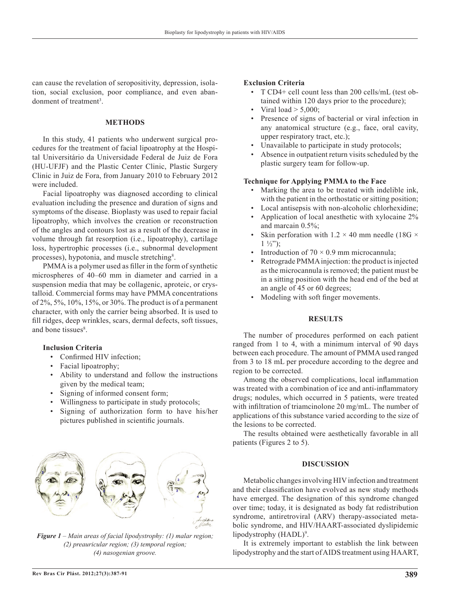can cause the revelation of seropositivity, depression, isolation, social exclusion, poor compliance, and even abandonment of treatment<sup>3</sup>.

# **METHODS**

In this study, 41 patients who underwent surgical procedures for the treatment of facial lipoatrophy at the Hospi tal Universitário da Universidade Federal de Juiz de Fora (HU-UFJF) and the Plastic Center Clinic, Plastic Surgery Clinic in Juiz de Fora, from January 2010 to February 2012 were included.

Facial lipoatrophy was diagnosed according to clinical evaluation including the presence and duration of signs and symptoms of the disease. Bioplasty was used to repair facial lipoatrophy, which involves the creation or reconstruction of the angles and contours lost as a result of the decrease in volume through fat resorption (i.e., lipoatrophy), cartilage loss, hypertrophic processes (i.e., subnormal development processes), hypotonia, and muscle stretching<sup>8</sup>.

PMMA is a polymer used as filler in the form of synthetic microspheres of 40–60 mm in diameter and carried in a suspension media that may be collagenic, aproteic, or crystalloid. Commercial forms may have PMMA concentrations of 2%, 5%, 10%, 15%, or 30%. The product is of a permanent character, with only the carrier being absorbed. It is used to fill ridges, deep wrinkles, scars, dermal defects, soft tissues, and bone tissues<sup>8</sup>.

## **Inclusion Criteria**

- Confirmed HIV infection;
- Facial lipoatrophy;
- Ability to understand and follow the instructions given by the medical team;
- Signing of informed consent form;
- Willingness to participate in study protocols;
- Signing of authorization form to have his/her pictures published in scientific journals.



*Figure 1 – Main areas of facial lipodystrophy: (1) malar region; (2) preauricular region; (3) temporal region; (4) nasogenian groove.*

#### **Exclusion Criteria**

- T CD4+ cell count less than 200 cells/mL (test obtained within 120 days prior to the procedure);
- Viral load  $>$  5,000;
- Presence of signs of bacterial or viral infection in any anatomical structure (e.g., face, oral cavity, upper respiratory tract, etc.);
- Unavailable to participate in study protocols;
- Absence in outpatient return visits scheduled by the plastic surgery team for follow-up.

### **Technique for Applying PMMA to the Face**

- Marking the area to be treated with indelible ink, with the patient in the orthostatic or sitting position;
- Local antisepsis with non-alcoholic chlorhexidine; • Application of local anesthetic with xylocaine 2%
- and marcain 0.5%;
- Skin perforation with  $1.2 \times 40$  mm needle (18G  $\times$  $1 \frac{1}{2}$ ");
- Introduction of  $70 \times 0.9$  mm microcannula;
- Retrograde PMMA injection: the product is injected as the microcannula is removed; the patient must be in a sitting position with the head end of the bed at an angle of 45 or 60 degrees;
- Modeling with soft finger movements.

# **RESULTS**

The number of procedures performed on each patient ranged from 1 to 4, with a minimum interval of 90 days between each procedure. The amount of PMMA used ranged from 3 to 18 mL per procedure according to the degree and region to be corrected.

Among the observed complications, local inflammation was treated with a combination of ice and anti-inflammatory drugs; nodules, which occurred in 5 patients, were treated with infiltration of triamcinolone 20 mg/mL. The number of applications of this substance varied according to the size of the lesions to be corrected.

The results obtained were aesthetically favorable in all patients (Figures 2 to 5).

### **DISCUSSION**

Metabolic changes involving HIV infection and treatment and their classification have evolved as new study methods have emerged. The designation of this syndrome changed over time; today, it is designated as body fat redistribution syndrome, antiretroviral (ARV) therapy-associated metabolic syndrome, and HIV/HAART-associated dyslipidemic lipodystrophy (HADL)<sup>9</sup>.

It is extremely important to establish the link between lipodystrophy and the start of AIDS treatment using HAART,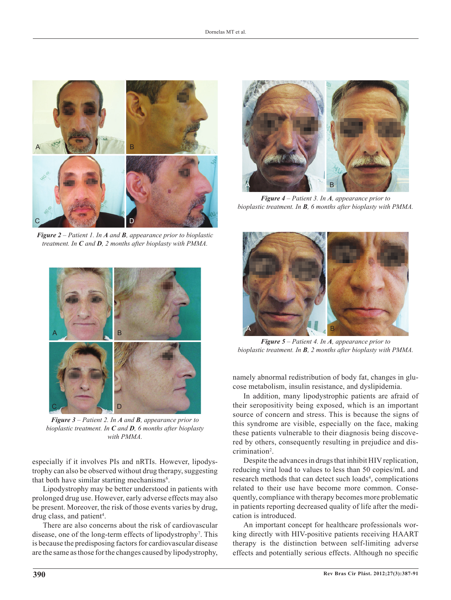

*Figure 2 – Patient 1. In A and B, appearance prior to bioplastic treatment. In C and D, 2 months after bioplasty with PMMA.*



*Figure 3 – Patient 2. In A and B, appearance prior to bioplastic treatment. In C and D, 6 months after bioplasty with PMMA.*

especially if it involves PIs and nRTIs. However, lipodystrophy can also be observed without drug therapy, suggesting that both have similar starting mechanisms<sup>6</sup>.

Lipodystrophy may be better understood in patients with prolonged drug use. However, early adverse effects may also be present. Moreover, the risk of those events varies by drug, drug class, and patient<sup>4</sup>.

There are also concerns about the risk of cardiovascular disease, one of the long-term effects of lipodystrophy<sup>7</sup> . This is because the predisposing factors for cardiovascular disease are the same as those for the changes caused by lipodystrophy,



*Figure 4 – Patient 3. In A, appearance prior to bioplastic treatment. In B, 6 months after bioplasty with PMMA.*



*Figure 5 – Patient 4. In A, appearance prior to bioplastic treatment. In B, 2 months after bioplasty with PMMA.*

namely abnormal redistribution of body fat, changes in glucose metabolism, insulin resistance, and dyslipidemia.

In addition, many lipodystrophic patients are afraid of their seropositivity being exposed, which is an important source of concern and stress. This is because the signs of this syndrome are visible, especially on the face, making these patients vulnerable to their diagnosis being discovered by others, consequently resulting in prejudice and discrimination<sup>2</sup>.

Despite the advances in drugs that inhibit HIV replication, reducing viral load to values to less than 50 copies/mL and research methods that can detect such loads<sup>4</sup>, complications related to their use have become more common. Consequently, compliance with therapy becomes more problematic in patients reporting decreased quality of life after the medication is introduced.

An important concept for healthcare professionals working directly with HIV-positive patients receiving HAART therapy is the distinction between self-limiting adverse effects and potentially serious effects. Although no specific